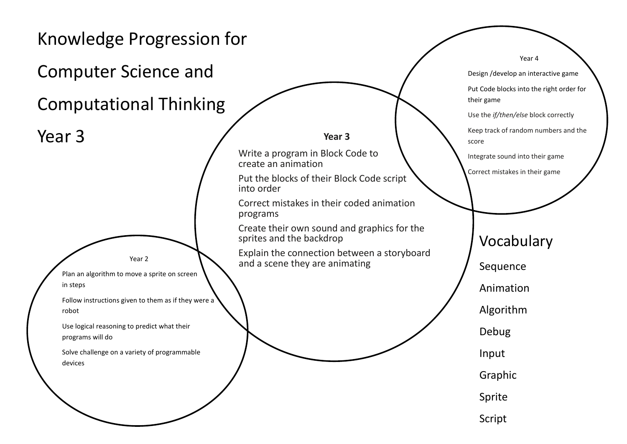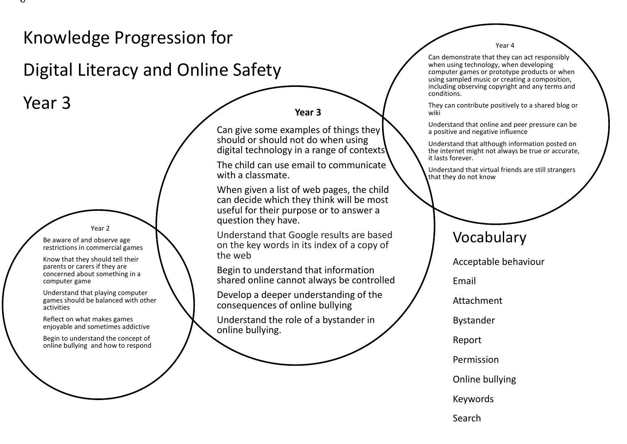Knowledge Progression for

Digital Literacy and Online Safety

Year 3

### Year 2

Be aware of and observe age restrictions in commercial games

Know that they should tell their parents or carers if they are concerned about something in a computer game

Understand that playing computer games should be balanced with other activities

Reflect on what makes games enjoyable and sometimes addictive

Begin to understand the concept of online bullying and how to respond

Can give some examples of things they should or should not do when using digital technology in a range of contexts

The child can use email to communicate with a classmate.

When given a list of web pages, the child can decide which they think will be most useful for their purpose or to answer a question they have.

Understand that Google results are based on the key words in its index of a copy of the web

Begin to understand that information shared online cannot always be controlled

Develop a deeper understanding of the consequences of online bullying

Understand the role of a bystander in online bullying.

Year 4

Can demonstrate that they can act responsibly when using technology, when developing computer games or prototype products or when using sampled music or creating a composition, including observing copyright and any terms and conditions.

They can contribute positively to a shared blog or wiki

Understand that online and peer pressure can be a positive and negative influence

Understand that although information posted on the internet might not always be true or accurate, it lasts forever.

Understand that virtual friends are still strangers that they do not know

## Vocabulary

Acceptable behaviour

Email

Attachment

Bystander

Report

Permission

Online bullying

Keywords

Search